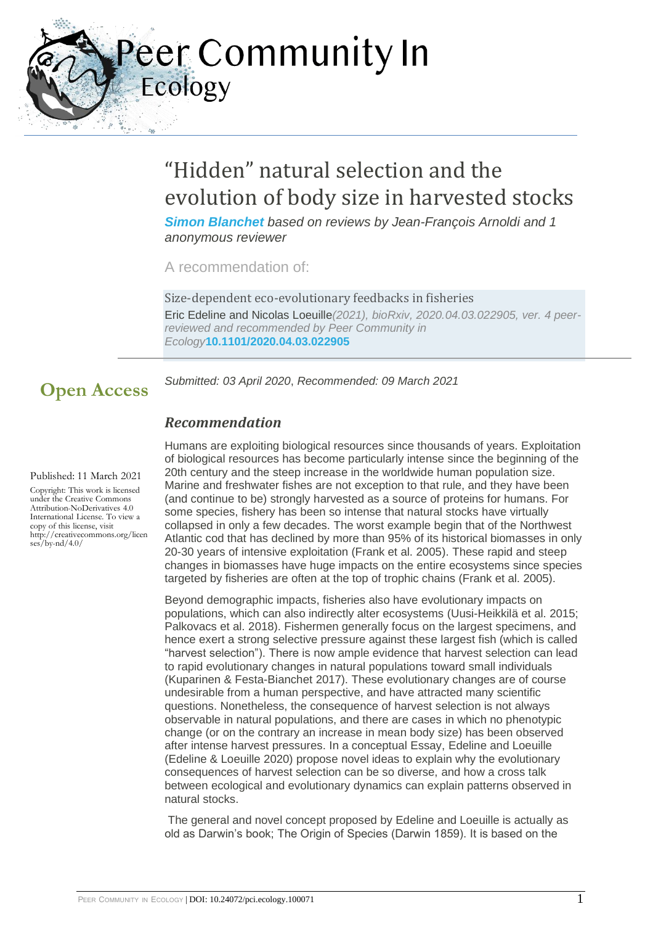

# "Hidden" natural selection and the evolution of body size in harvested stocks

*[Simon Blanchet](https://ecology.peercommunityin.org/public/user_public_page?userId=9) based on reviews by Jean-François Arnoldi and 1 anonymous reviewer*

A recommendation of:

Size-dependent eco-evolutionary feedbacks in fisheries Eric Edeline and Nicolas Loeuille*(2021), bioRxiv, 2020.04.03.022905, ver. 4 peerreviewed and recommended by Peer Community in Ecology***[10.1101/2020.04.03.022905](https://doi.org/10.1101/2020.04.03.022905)**

*Submitted: 03 April 2020*, *Recommended: 09 March 2021*

## *Recommendation*

#### Published: 11 March 2021

**Open Access**

Copyright: This work is licensed under the Creative Commons Attribution-NoDerivatives 4.0 International License. To view a copy of this license, visit http://creativecommons.org/licen  $ses/bv-nd/4.0/$ 

Humans are exploiting biological resources since thousands of years. Exploitation of biological resources has become particularly intense since the beginning of the 20th century and the steep increase in the worldwide human population size. Marine and freshwater fishes are not exception to that rule, and they have been (and continue to be) strongly harvested as a source of proteins for humans. For some species, fishery has been so intense that natural stocks have virtually collapsed in only a few decades. The worst example begin that of the Northwest Atlantic cod that has declined by more than 95% of its historical biomasses in only 20-30 years of intensive exploitation (Frank et al. 2005). These rapid and steep changes in biomasses have huge impacts on the entire ecosystems since species targeted by fisheries are often at the top of trophic chains (Frank et al. 2005).

Beyond demographic impacts, fisheries also have evolutionary impacts on populations, which can also indirectly alter ecosystems (Uusi-Heikkilä et al. 2015; Palkovacs et al. 2018). Fishermen generally focus on the largest specimens, and hence exert a strong selective pressure against these largest fish (which is called "harvest selection"). There is now ample evidence that harvest selection can lead to rapid evolutionary changes in natural populations toward small individuals (Kuparinen & Festa-Bianchet 2017). These evolutionary changes are of course undesirable from a human perspective, and have attracted many scientific questions. Nonetheless, the consequence of harvest selection is not always observable in natural populations, and there are cases in which no phenotypic change (or on the contrary an increase in mean body size) has been observed after intense harvest pressures. In a conceptual Essay, Edeline and Loeuille (Edeline & Loeuille 2020) propose novel ideas to explain why the evolutionary consequences of harvest selection can be so diverse, and how a cross talk between ecological and evolutionary dynamics can explain patterns observed in natural stocks.

The general and novel concept proposed by Edeline and Loeuille is actually as old as Darwin's book; The Origin of Species (Darwin 1859). It is based on the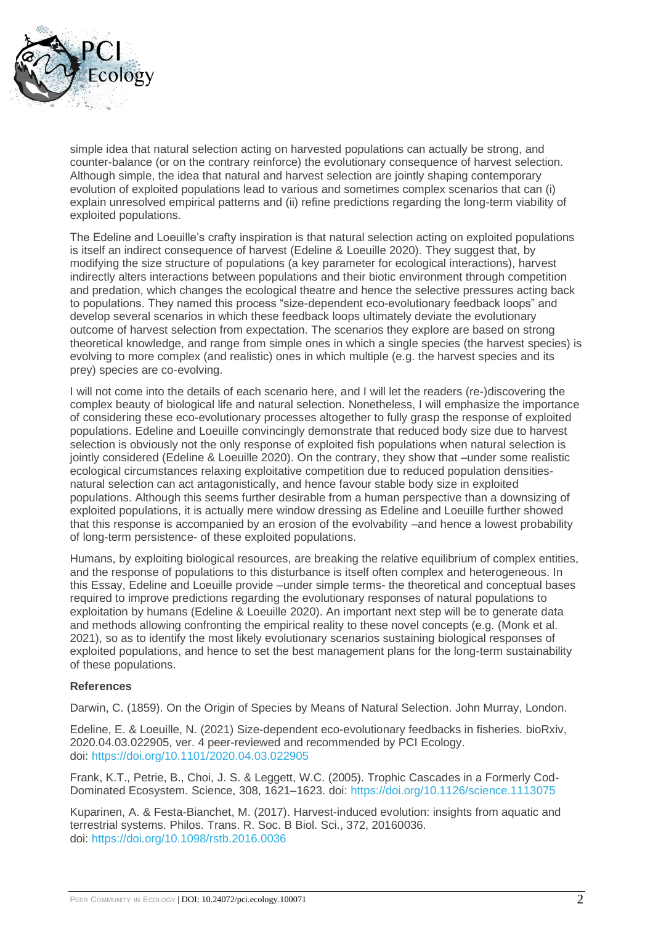

simple idea that natural selection acting on harvested populations can actually be strong, and counter-balance (or on the contrary reinforce) the evolutionary consequence of harvest selection. Although simple, the idea that natural and harvest selection are jointly shaping contemporary evolution of exploited populations lead to various and sometimes complex scenarios that can (i) explain unresolved empirical patterns and (ii) refine predictions regarding the long-term viability of exploited populations.

The Edeline and Loeuille's crafty inspiration is that natural selection acting on exploited populations is itself an indirect consequence of harvest (Edeline & Loeuille 2020). They suggest that, by modifying the size structure of populations (a key parameter for ecological interactions), harvest indirectly alters interactions between populations and their biotic environment through competition and predation, which changes the ecological theatre and hence the selective pressures acting back to populations. They named this process "size-dependent eco-evolutionary feedback loops" and develop several scenarios in which these feedback loops ultimately deviate the evolutionary outcome of harvest selection from expectation. The scenarios they explore are based on strong theoretical knowledge, and range from simple ones in which a single species (the harvest species) is evolving to more complex (and realistic) ones in which multiple (e.g. the harvest species and its prey) species are co-evolving.

I will not come into the details of each scenario here, and I will let the readers (re-)discovering the complex beauty of biological life and natural selection. Nonetheless, I will emphasize the importance of considering these eco-evolutionary processes altogether to fully grasp the response of exploited populations. Edeline and Loeuille convincingly demonstrate that reduced body size due to harvest selection is obviously not the only response of exploited fish populations when natural selection is jointly considered (Edeline & Loeuille 2020). On the contrary, they show that –under some realistic ecological circumstances relaxing exploitative competition due to reduced population densitiesnatural selection can act antagonistically, and hence favour stable body size in exploited populations. Although this seems further desirable from a human perspective than a downsizing of exploited populations, it is actually mere window dressing as Edeline and Loeuille further showed that this response is accompanied by an erosion of the evolvability –and hence a lowest probability of long-term persistence- of these exploited populations.

Humans, by exploiting biological resources, are breaking the relative equilibrium of complex entities, and the response of populations to this disturbance is itself often complex and heterogeneous. In this Essay, Edeline and Loeuille provide –under simple terms- the theoretical and conceptual bases required to improve predictions regarding the evolutionary responses of natural populations to exploitation by humans (Edeline & Loeuille 2020). An important next step will be to generate data and methods allowing confronting the empirical reality to these novel concepts (e.g. (Monk et al. 2021), so as to identify the most likely evolutionary scenarios sustaining biological responses of exploited populations, and hence to set the best management plans for the long-term sustainability of these populations.

#### **References**

Darwin, C. (1859). On the Origin of Species by Means of Natural Selection. John Murray, London.

Edeline, E. & Loeuille, N. (2021) Size-dependent eco-evolutionary feedbacks in fisheries. bioRxiv, 2020.04.03.022905, ver. 4 peer-reviewed and recommended by PCI Ecology. doi: <https://doi.org/10.1101/2020.04.03.022905>

Frank, K.T., Petrie, B., Choi, J. S. & Leggett, W.C. (2005). Trophic Cascades in a Formerly Cod-Dominated Ecosystem. Science, 308, 1621–1623. doi: <https://doi.org/10.1126/science.1113075>

Kuparinen, A. & Festa-Bianchet, M. (2017). Harvest-induced evolution: insights from aquatic and terrestrial systems. Philos. Trans. R. Soc. B Biol. Sci., 372, 20160036. doi: <https://doi.org/10.1098/rstb.2016.0036>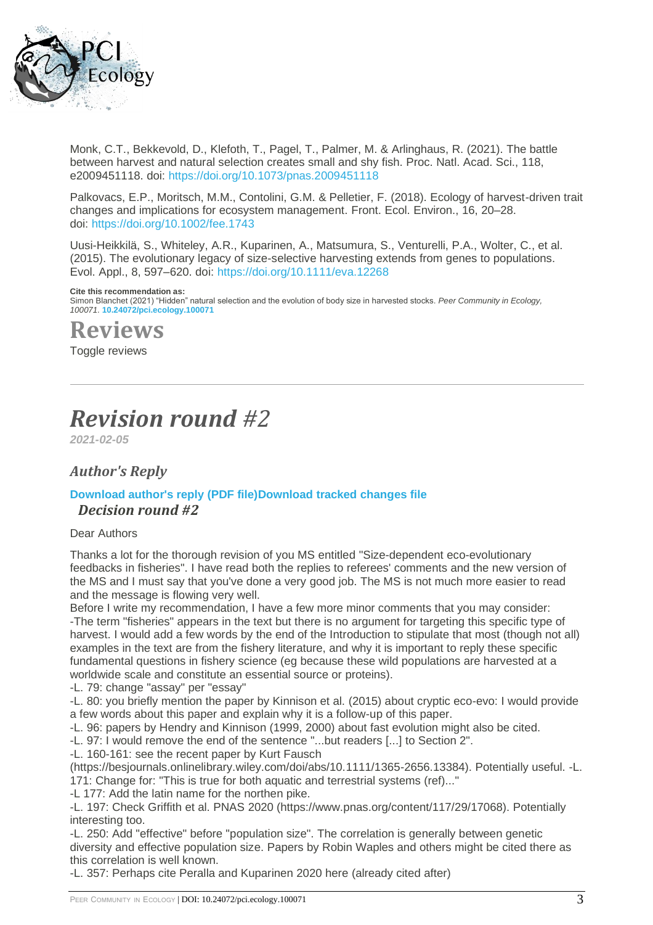

Monk, C.T., Bekkevold, D., Klefoth, T., Pagel, T., Palmer, M. & Arlinghaus, R. (2021). The battle between harvest and natural selection creates small and shy fish. Proc. Natl. Acad. Sci., 118, e2009451118. doi: <https://doi.org/10.1073/pnas.2009451118>

Palkovacs, E.P., Moritsch, M.M., Contolini, G.M. & Pelletier, F. (2018). Ecology of harvest-driven trait changes and implications for ecosystem management. Front. Ecol. Environ., 16, 20–28. doi: <https://doi.org/10.1002/fee.1743>

Uusi-Heikkilä, S., Whiteley, A.R., Kuparinen, A., Matsumura, S., Venturelli, P.A., Wolter, C., et al. (2015). The evolutionary legacy of size-selective harvesting extends from genes to populations. Evol. Appl., 8, 597–620. doi: <https://doi.org/10.1111/eva.12268>

#### **Cite this recommendation as:**

Simon Blanchet (2021) "Hidden" natural selection and the evolution of body size in harvested stocks. *Peer Community in Ecology, 100071.* **[10.24072/pci.ecology.100071](https://doi.org/10.24072/pci.ecology.100071)**

**Reviews**

Toggle reviews

# *Revision round #2*

*2021-02-05*

## *Author's Reply*

### **[Download author's reply \(PDF file\)](https://ecology.peercommunityin.org/download/t_recommendations.reply_pdf.880ebfba91506886.436f7665725f6c65747465725f5265766973696f6e325f56312e706466.pdf)[Download tracked changes file](https://ecology.peercommunityin.org/download/t_recommendations.track_change.9c8e946e0e02ff17.4545464c5f6f70696e696f6e5f70617065725f5265766973696f6e325f56312e706466.pdf)** *Decision round #2*

#### Dear Authors

Thanks a lot for the thorough revision of you MS entitled "Size-dependent eco-evolutionary feedbacks in fisheries". I have read both the replies to referees' comments and the new version of the MS and I must say that you've done a very good job. The MS is not much more easier to read and the message is flowing very well.

Before I write my recommendation, I have a few more minor comments that you may consider: -The term "fisheries" appears in the text but there is no argument for targeting this specific type of harvest. I would add a few words by the end of the Introduction to stipulate that most (though not all) examples in the text are from the fishery literature, and why it is important to reply these specific fundamental questions in fishery science (eg because these wild populations are harvested at a worldwide scale and constitute an essential source or proteins).

-L. 79: change "assay" per "essay"

-L. 80: you briefly mention the paper by Kinnison et al. (2015) about cryptic eco-evo: I would provide a few words about this paper and explain why it is a follow-up of this paper.

-L. 96: papers by Hendry and Kinnison (1999, 2000) about fast evolution might also be cited.

-L. 97: I would remove the end of the sentence "...but readers [...] to Section 2".

-L. 160-161: see the recent paper by Kurt Fausch

(https://besjournals.onlinelibrary.wiley.com/doi/abs/10.1111/1365-2656.13384). Potentially useful. -L. 171: Change for: "This is true for both aquatic and terrestrial systems (ref)..."

-L 177: Add the latin name for the northen pike.

-L. 197: Check Griffith et al. PNAS 2020 (https://www.pnas.org/content/117/29/17068). Potentially interesting too.

-L. 250: Add "effective" before "population size". The correlation is generally between genetic diversity and effective population size. Papers by Robin Waples and others might be cited there as this correlation is well known.

-L. 357: Perhaps cite Peralla and Kuparinen 2020 here (already cited after)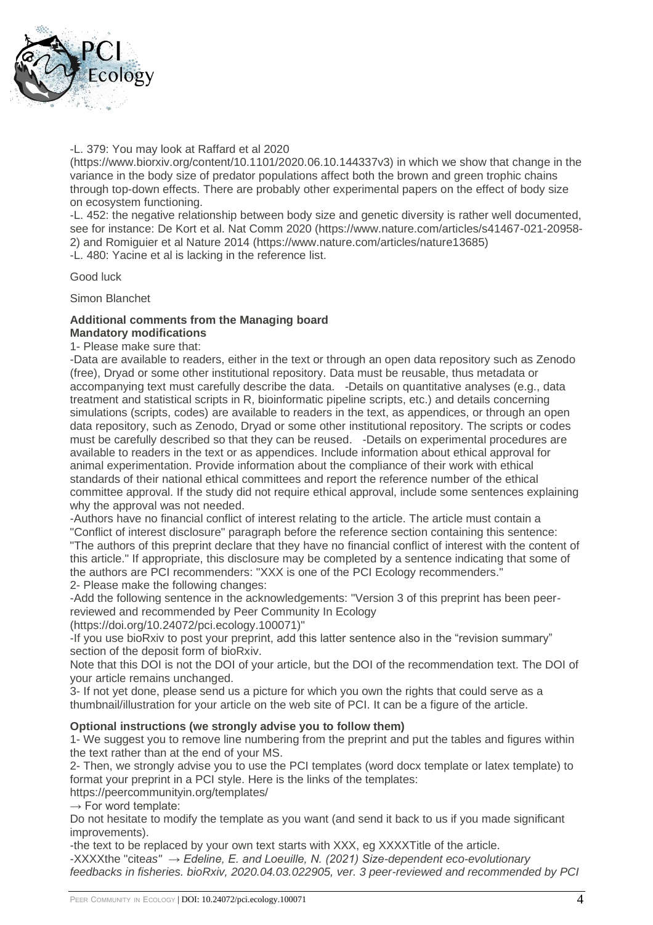

#### -L. 379: You may look at Raffard et al 2020

(https://www.biorxiv.org/content/10.1101/2020.06.10.144337v3) in which we show that change in the variance in the body size of predator populations affect both the brown and green trophic chains through top-down effects. There are probably other experimental papers on the effect of body size on ecosystem functioning.

-L. 452: the negative relationship between body size and genetic diversity is rather well documented, see for instance: De Kort et al. Nat Comm 2020 (https://www.nature.com/articles/s41467-021-20958- 2) and Romiguier et al Nature 2014 (https://www.nature.com/articles/nature13685) -L. 480: Yacine et al is lacking in the reference list.

Good luck

Simon Blanchet

#### **Additional comments from the Managing board Mandatory modifications**

1- Please make sure that:

-Data are available to readers, either in the text or through an open data repository such as Zenodo (free), Dryad or some other institutional repository. Data must be reusable, thus metadata or accompanying text must carefully describe the data. -Details on quantitative analyses (e.g., data treatment and statistical scripts in R, bioinformatic pipeline scripts, etc.) and details concerning simulations (scripts, codes) are available to readers in the text, as appendices, or through an open data repository, such as Zenodo, Dryad or some other institutional repository. The scripts or codes must be carefully described so that they can be reused. -Details on experimental procedures are available to readers in the text or as appendices. Include information about ethical approval for animal experimentation. Provide information about the compliance of their work with ethical standards of their national ethical committees and report the reference number of the ethical committee approval. If the study did not require ethical approval, include some sentences explaining why the approval was not needed.

-Authors have no financial conflict of interest relating to the article. The article must contain a "Conflict of interest disclosure" paragraph before the reference section containing this sentence:

"The authors of this preprint declare that they have no financial conflict of interest with the content of this article." If appropriate, this disclosure may be completed by a sentence indicating that some of the authors are PCI recommenders: "XXX is one of the PCI Ecology recommenders."

2- Please make the following changes:

-Add the following sentence in the acknowledgements: "Version 3 of this preprint has been peerreviewed and recommended by Peer Community In Ecology

(https://doi.org/10.24072/pci.ecology.100071)"

-If you use bioRxiv to post your preprint, add this latter sentence also in the "revision summary" section of the deposit form of bioRxiv.

Note that this DOI is not the DOI of your article, but the DOI of the recommendation text. The DOI of your article remains unchanged.

3- If not yet done, please send us a picture for which you own the rights that could serve as a thumbnail/illustration for your article on the web site of PCI. It can be a figure of the article.

### **Optional instructions (we strongly advise you to follow them)**

1- We suggest you to remove line numbering from the preprint and put the tables and figures within the text rather than at the end of your MS.

2- Then, we strongly advise you to use the PCI templates (word docx template or latex template) to format your preprint in a PCI style. Here is the links of the templates:

https://peercommunityin.org/templates/

 $\rightarrow$  For word template:

Do not hesitate to modify the template as you want (and send it back to us if you made significant improvements).

-the text to be replaced by your own text starts with XXX, eg XXXXTitle of the article. -XXXXthe "cite*as" → Edeline, E. and Loeuille, N. (2021) Size-dependent eco-evolutionary feedbacks in fisheries. bioRxiv, 2020.04.03.022905, ver. 3 peer-reviewed and recommended by PCI*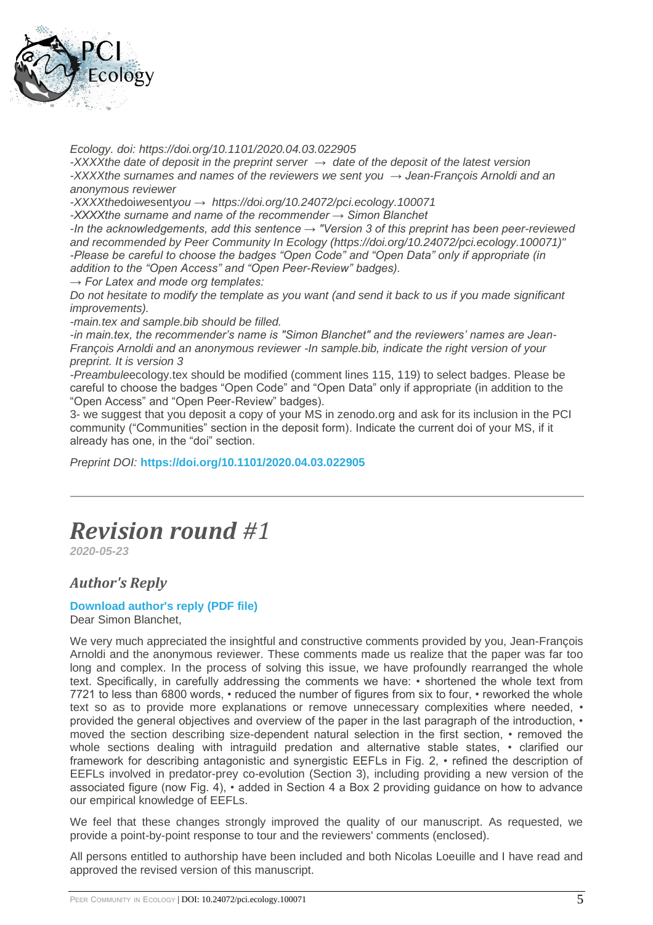

*Ecology. doi: https://doi.org/10.1101/2020.04.03.022905*

*-XXXXthe date of deposit in the preprint server → date of the deposit of the latest version -XXXXthe surnames and names of the reviewers we sent you → Jean-François Arnoldi and an anonymous reviewer*

*-XXXXthe*doi*we*sent*you → https://doi.org/10.24072/pci.ecology.100071*

*-XXXXthe surname and name of the recommender → Simon Blanchet*

*-In the acknowledgements, add this sentence → "Version 3 of this preprint has been peer-reviewed and recommended by Peer Community In Ecology (https://doi.org/10.24072/pci.ecology.100071)" -Please be careful to choose the badges "Open Code" and "Open Data" only if appropriate (in addition to the "Open Access" and "Open Peer-Review" badges).*

*→ For Latex and mode org templates:*

*Do not hesitate to modify the template as you want (and send it back to us if you made significant improvements).*

*-main.tex and sample.bib should be filled.*

*-in main.tex, the recommender's name is "Simon Blanchet" and the reviewers' names are Jean-François Arnoldi and an anonymous reviewer -In sample.bib, indicate the right version of your preprint. It is version 3*

*-Preambule*ecology.tex should be modified (comment lines 115, 119) to select badges. Please be careful to choose the badges "Open Code" and "Open Data" only if appropriate (in addition to the "Open Access" and "Open Peer-Review" badges).

3- we suggest that you deposit a copy of your MS in zenodo.org and ask for its inclusion in the PCI community ("Communities" section in the deposit form). Indicate the current doi of your MS, if it already has one, in the "doi" section.

*Preprint DOI:* **<https://doi.org/10.1101/2020.04.03.022905>**

## *Revision round #1*

*2020-05-23*

## *Author's Reply*

### **[Download author's reply \(PDF file\)](https://ecology.peercommunityin.org/download/t_recommendations.reply_pdf.8d94aa8c6580ee64.436f7665725f6c65747465725f5265766973696f6e315f56312e706466.pdf)**

Dear Simon Blanchet,

We very much appreciated the insightful and constructive comments provided by you, Jean-François Arnoldi and the anonymous reviewer. These comments made us realize that the paper was far too long and complex. In the process of solving this issue, we have profoundly rearranged the whole text. Specifically, in carefully addressing the comments we have: • shortened the whole text from 7721 to less than 6800 words, • reduced the number of figures from six to four, • reworked the whole text so as to provide more explanations or remove unnecessary complexities where needed, • provided the general objectives and overview of the paper in the last paragraph of the introduction, • moved the section describing size-dependent natural selection in the first section, • removed the whole sections dealing with intraguild predation and alternative stable states, • clarified our framework for describing antagonistic and synergistic EEFLs in Fig. 2, • refined the description of EEFLs involved in predator-prey co-evolution (Section 3), including providing a new version of the associated figure (now Fig. 4), • added in Section 4 a Box 2 providing guidance on how to advance our empirical knowledge of EEFLs.

We feel that these changes strongly improved the quality of our manuscript. As requested, we provide a point-by-point response to tour and the reviewers' comments (enclosed).

All persons entitled to authorship have been included and both Nicolas Loeuille and I have read and approved the revised version of this manuscript.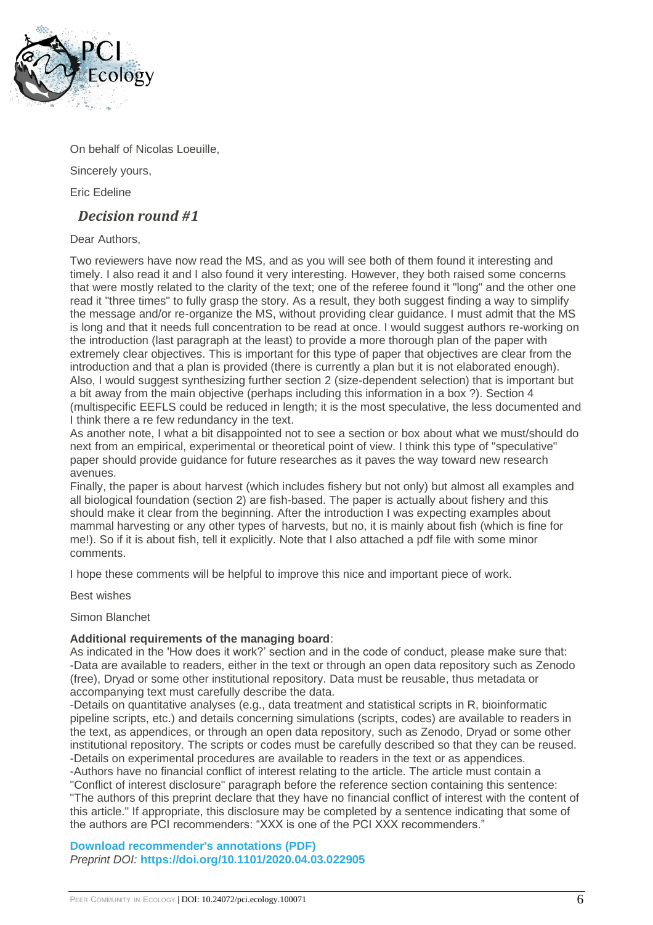

On behalf of Nicolas Loeuille,

Sincerely yours,

Eric Edeline

## *Decision round #1*

Dear Authors,

Two reviewers have now read the MS, and as you will see both of them found it interesting and timely. I also read it and I also found it very interesting. However, they both raised some concerns that were mostly related to the clarity of the text; one of the referee found it "long" and the other one read it "three times" to fully grasp the story. As a result, they both suggest finding a way to simplify the message and/or re-organize the MS, without providing clear guidance. I must admit that the MS is long and that it needs full concentration to be read at once. I would suggest authors re-working on the introduction (last paragraph at the least) to provide a more thorough plan of the paper with extremely clear objectives. This is important for this type of paper that objectives are clear from the introduction and that a plan is provided (there is currently a plan but it is not elaborated enough). Also, I would suggest synthesizing further section 2 (size-dependent selection) that is important but a bit away from the main objective (perhaps including this information in a box ?). Section 4 (multispecific EEFLS could be reduced in length; it is the most speculative, the less documented and I think there a re few redundancy in the text.

As another note, I what a bit disappointed not to see a section or box about what we must/should do next from an empirical, experimental or theoretical point of view. I think this type of "speculative" paper should provide guidance for future researches as it paves the way toward new research avenues.

Finally, the paper is about harvest (which includes fishery but not only) but almost all examples and all biological foundation (section 2) are fish-based. The paper is actually about fishery and this should make it clear from the beginning. After the introduction I was expecting examples about mammal harvesting or any other types of harvests, but no, it is mainly about fish (which is fine for me!). So if it is about fish, tell it explicitly. Note that I also attached a pdf file with some minor comments.

I hope these comments will be helpful to improve this nice and important piece of work.

Best wishes

Simon Blanchet

### **Additional requirements of the managing board**:

As indicated in the 'How does it work?' section and in the code of conduct, please make sure that: -Data are available to readers, either in the text or through an open data repository such as Zenodo (free), Dryad or some other institutional repository. Data must be reusable, thus metadata or accompanying text must carefully describe the data.

-Details on quantitative analyses (e.g., data treatment and statistical scripts in R, bioinformatic pipeline scripts, etc.) and details concerning simulations (scripts, codes) are available to readers in the text, as appendices, or through an open data repository, such as Zenodo, Dryad or some other institutional repository. The scripts or codes must be carefully described so that they can be reused. -Details on experimental procedures are available to readers in the text or as appendices.

-Authors have no financial conflict of interest relating to the article. The article must contain a "Conflict of interest disclosure" paragraph before the reference section containing this sentence: "The authors of this preprint declare that they have no financial conflict of interest with the content of this article." If appropriate, this disclosure may be completed by a sentence indicating that some of the authors are PCI recommenders: "XXX is one of the PCI XXX recommenders."

**[Download recommender's annotations \(PDF\)](https://ecology.peercommunityin.org/download/t_recommendations.recommender_file.8d5f36d8e35acc6a.323032302e30342e30332e30323239303576312e66756c6c2e706466.pdf)** *Preprint DOI:* **<https://doi.org/10.1101/2020.04.03.022905>**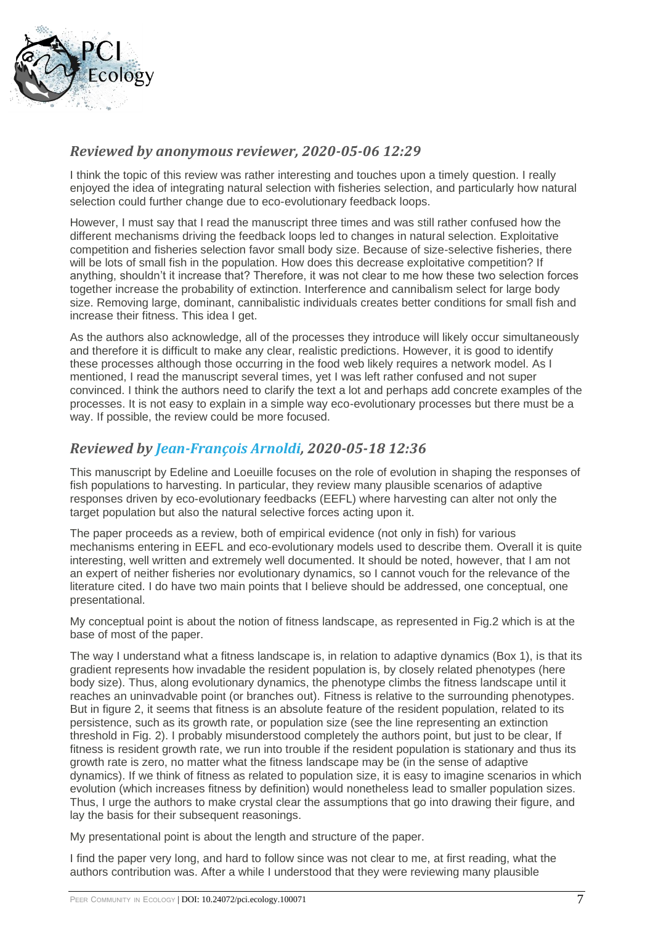

## *Reviewed by anonymous reviewer, 2020-05-06 12:29*

I think the topic of this review was rather interesting and touches upon a timely question. I really enjoyed the idea of integrating natural selection with fisheries selection, and particularly how natural selection could further change due to eco-evolutionary feedback loops.

However, I must say that I read the manuscript three times and was still rather confused how the different mechanisms driving the feedback loops led to changes in natural selection. Exploitative competition and fisheries selection favor small body size. Because of size-selective fisheries, there will be lots of small fish in the population. How does this decrease exploitative competition? If anything, shouldn't it increase that? Therefore, it was not clear to me how these two selection forces together increase the probability of extinction. Interference and cannibalism select for large body size. Removing large, dominant, cannibalistic individuals creates better conditions for small fish and increase their fitness. This idea I get.

As the authors also acknowledge, all of the processes they introduce will likely occur simultaneously and therefore it is difficult to make any clear, realistic predictions. However, it is good to identify these processes although those occurring in the food web likely requires a network model. As I mentioned, I read the manuscript several times, yet I was left rather confused and not super convinced. I think the authors need to clarify the text a lot and perhaps add concrete examples of the processes. It is not easy to explain in a simple way eco-evolutionary processes but there must be a way. If possible, the review could be more focused.

## *Reviewed by [Jean-François Arnoldi,](https://ecology.peercommunityin.org/public/user_public_page?userId=593) 2020-05-18 12:36*

This manuscript by Edeline and Loeuille focuses on the role of evolution in shaping the responses of fish populations to harvesting. In particular, they review many plausible scenarios of adaptive responses driven by eco-evolutionary feedbacks (EEFL) where harvesting can alter not only the target population but also the natural selective forces acting upon it.

The paper proceeds as a review, both of empirical evidence (not only in fish) for various mechanisms entering in EEFL and eco-evolutionary models used to describe them. Overall it is quite interesting, well written and extremely well documented. It should be noted, however, that I am not an expert of neither fisheries nor evolutionary dynamics, so I cannot vouch for the relevance of the literature cited. I do have two main points that I believe should be addressed, one conceptual, one presentational.

My conceptual point is about the notion of fitness landscape, as represented in Fig.2 which is at the base of most of the paper.

The way I understand what a fitness landscape is, in relation to adaptive dynamics (Box 1), is that its gradient represents how invadable the resident population is, by closely related phenotypes (here body size). Thus, along evolutionary dynamics, the phenotype climbs the fitness landscape until it reaches an uninvadvable point (or branches out). Fitness is relative to the surrounding phenotypes. But in figure 2, it seems that fitness is an absolute feature of the resident population, related to its persistence, such as its growth rate, or population size (see the line representing an extinction threshold in Fig. 2). I probably misunderstood completely the authors point, but just to be clear, If fitness is resident growth rate, we run into trouble if the resident population is stationary and thus its growth rate is zero, no matter what the fitness landscape may be (in the sense of adaptive dynamics). If we think of fitness as related to population size, it is easy to imagine scenarios in which evolution (which increases fitness by definition) would nonetheless lead to smaller population sizes. Thus, I urge the authors to make crystal clear the assumptions that go into drawing their figure, and lay the basis for their subsequent reasonings.

My presentational point is about the length and structure of the paper.

I find the paper very long, and hard to follow since was not clear to me, at first reading, what the authors contribution was. After a while I understood that they were reviewing many plausible